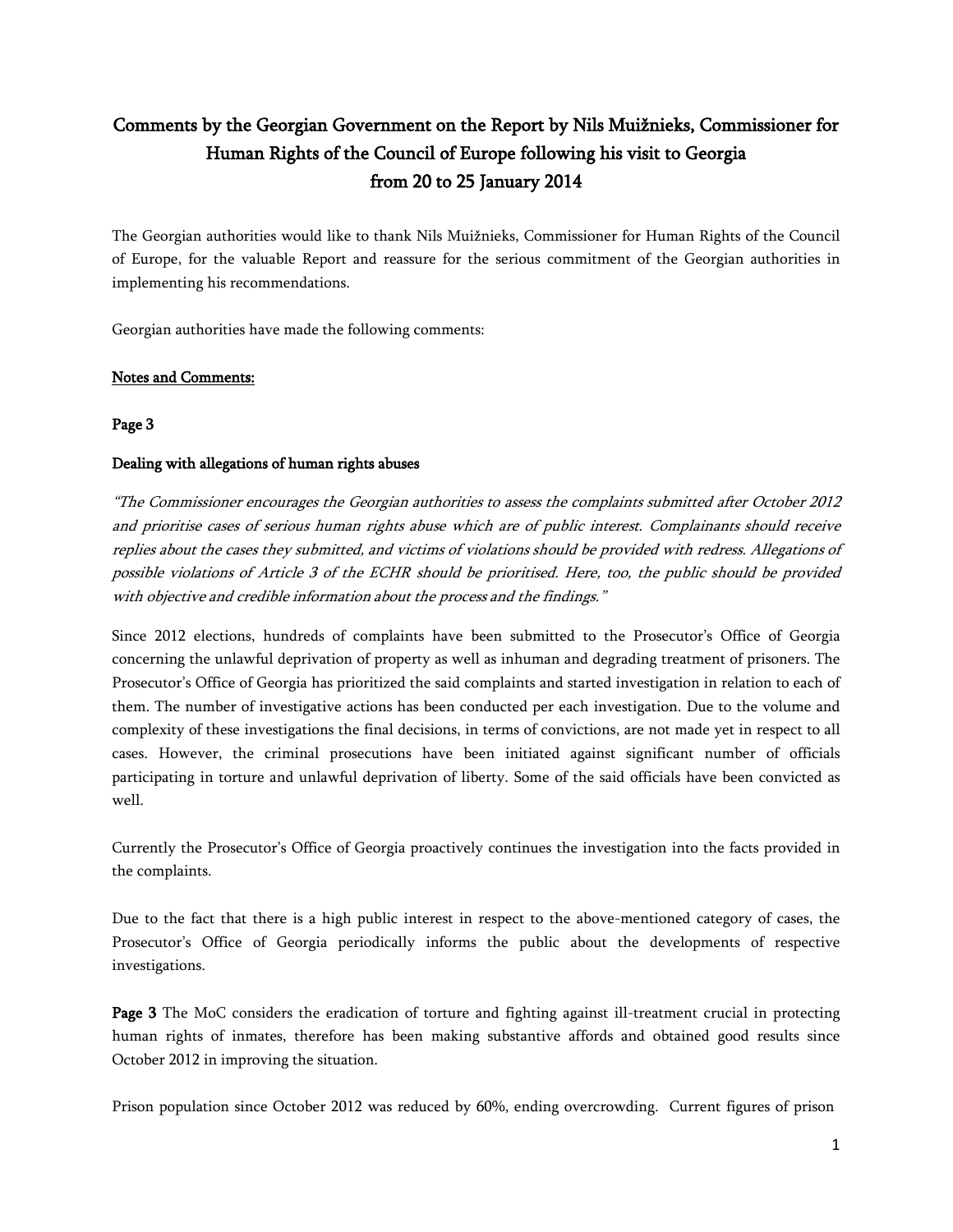# **Comments by the Georgian Government on the Report by Nils Muižnieks, Commissioner for Human Rights of the Council of Europe following his visit to Georgia from 20 to 25 January 2014**

The Georgian authorities would like to thank Nils Muižnieks, Commissioner for Human Rights of the Council of Europe, for the valuable Report and reassure for the serious commitment of the Georgian authorities in implementing his recommendations.

Georgian authorities have made the following comments:

# **Notes and Comments:**

# **Page 3**

# **Dealing with allegations of human rights abuses**

*"The Commissioner encourages the Georgian authorities to assess the complaints submitted after October 2012 and prioritise cases of serious human rights abuse which are of public interest. Complainants should receive* replies about the cases they submitted, and victims of violations should be provided with redress. Allegations of possible violations of Article 3 of the ECHR should be prioritised. Here, too, the public should be provided *with objective and credible information about the process and the findings."*

Since 2012 elections, hundreds of complaints have been submitted to the Prosecutor's Office of Georgia concerning the unlawful deprivation of property as well as inhuman and degrading treatment of prisoners. The Prosecutor's Office of Georgia has prioritized the said complaints and started investigation in relation to each of them. The number of investigative actions has been conducted per each investigation. Due to the volume and complexity of these investigations the final decisions, in terms of convictions, are not made yet in respect to all cases. However, the criminal prosecutions have been initiated against significant number of officials participating in torture and unlawful deprivation of liberty. Some of the said officials have been convicted as well.

Currently the Prosecutor's Office of Georgia proactively continues the investigation into the facts provided in the complaints.

Due to the fact that there is a high public interest in respect to the above-mentioned category of cases, the Prosecutor's Office of Georgia periodically informs the public about the developments of respective investigations.

**Page 3** The MoC considers the eradication of torture and fighting against ill-treatment crucial in protecting human rights of inmates, therefore has been making substantive affords and obtained good results since October 2012 in improving the situation.

Prison population since October 2012 was reduced by 60%, ending overcrowding. Current figures of prison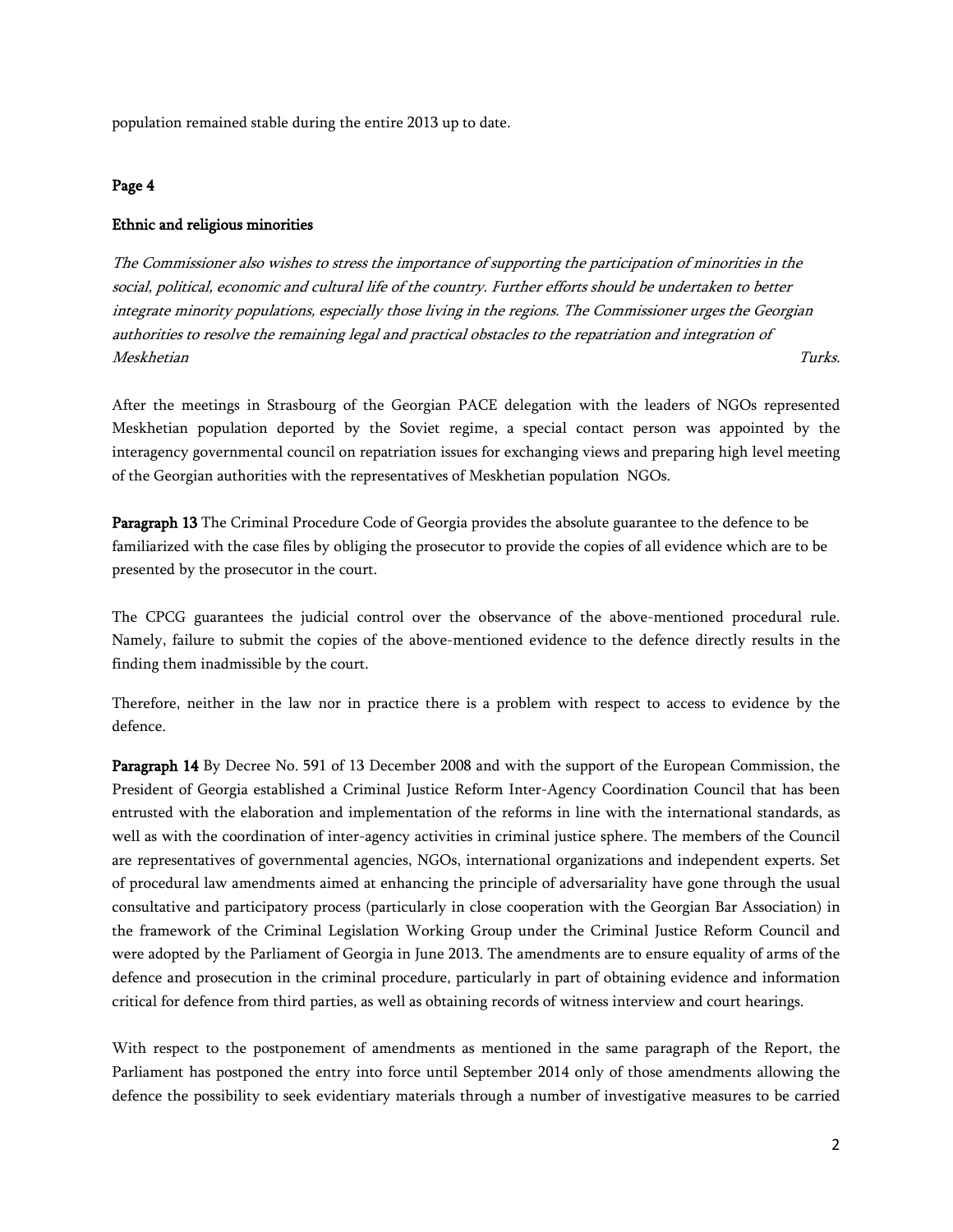population remained stable during the entire 2013 up to date.

### **Page 4**

### **Ethnic and religious minorities**

*The Commissioner also wishes to stress the importance of supporting the participation of minorities in the social, political, economic and cultural life of the country. Further efforts should be undertaken to better integrate minority populations, especially those living in the regions. The Commissioner urges the Georgian authorities to resolve the remaining legal and practical obstacles to the repatriation and integration of Meskhetian Turks.*

After the meetings in Strasbourg of the Georgian PACE delegation with the leaders of NGOs represented Meskhetian population deported by the Soviet regime, a special contact person was appointed by the interagency governmental council on repatriation issues for exchanging views and preparing high level meeting of the Georgian authorities with the representatives of Meskhetian population NGOs.

**Paragraph 13** The Criminal Procedure Code of Georgia provides the absolute guarantee to the defence to be familiarized with the case files by obliging the prosecutor to provide the copies of all evidence which are to be presented by the prosecutor in the court.

The CPCG guarantees the judicial control over the observance of the above-mentioned procedural rule. Namely, failure to submit the copies of the above-mentioned evidence to the defence directly results in the finding them inadmissible by the court.

Therefore, neither in the law nor in practice there is a problem with respect to access to evidence by the defence.

**Paragraph 14** By Decree No. 591 of 13 December 2008 and with the support of the European Commission, the President of Georgia established a Criminal Justice Reform Inter-Agency Coordination Council that has been entrusted with the elaboration and implementation of the reforms in line with the international standards, as well as with the coordination of inter-agency activities in criminal justice sphere. The members of the Council are representatives of governmental agencies, NGOs, international organizations and independent experts.Set of procedural law amendments aimed at enhancing the principle of adversariality have gone through the usual consultative and participatory process (particularly in close cooperation with the Georgian Bar Association) in the framework of the Criminal Legislation Working Groupunder the Criminal Justice Reform Council and were adopted by the Parliament of Georgia in June 2013. The amendments are to ensure equality of arms of the defence and prosecution in the criminal procedure, particularly in part of obtaining evidence and information critical for defence from third parties, as well as obtaining records of witness interview and court hearings.

With respect to the postponement of amendments as mentioned in the same paragraph of the Report, the Parliament has postponed the entry into force until September 2014 only of those amendments allowing the defence the possibility to seek evidentiary materials through a number of investigative measures to be carried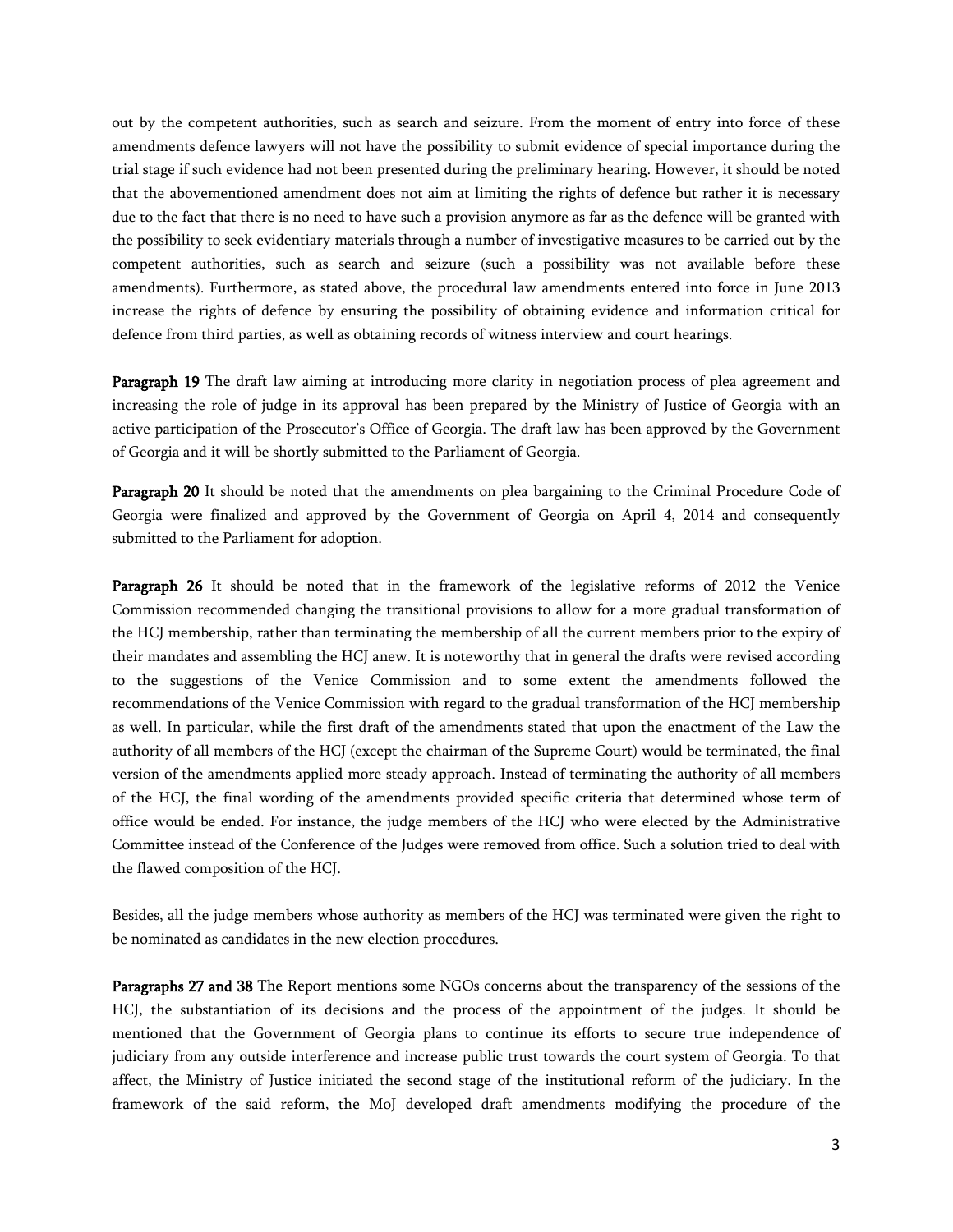out by the competent authorities, such as search and seizure. From the moment of entry into force of these amendments defence lawyers will not have the possibility to submit evidence of special importance during the trial stage if such evidence had not been presented during the preliminary hearing. However, it should be noted that the abovementioned amendment does not aim at limiting the rights of defence but rather it is necessary due to the fact that there is no need to have such a provision anymore as far as the defence will be granted with the possibility to seek evidentiary materials through a number of investigative measures to be carried out by the competent authorities, such as search and seizure (such a possibility was not available before these amendments). Furthermore, as stated above, the procedural law amendments entered into force in June 2013 increase the rights of defence by ensuring the possibility of obtaining evidence and information critical for defence from third parties, as well as obtaining records of witness interview and court hearings.

**Paragraph 19** The draft law aiming at introducing more clarity in negotiation process of plea agreement and increasing the role of judge in its approval has been prepared by the Ministry of Justice of Georgia with an active participation of the Prosecutor's Office of Georgia. The draft law has been approved by the Government of Georgia and it will be shortly submitted to the Parliament of Georgia.

**Paragraph 20** It should be noted that the amendments on plea bargaining to the Criminal Procedure Code of Georgia were finalized and approved by the Government of Georgia on April 4, 2014 and consequently submitted to the Parliament for adoption.

**Paragraph 26** It should be noted that in the framework of the legislative reforms of 2012 the Venice Commission recommended changing the transitional provisions to allow for a more gradual transformation of the HCJ membership, rather than terminating the membership of all the current members prior to the expiry of their mandates and assembling the HCJ anew. It is noteworthy that in general the drafts were revised according to the suggestions of the Venice Commission and to some extent the amendments followed the recommendations of the Venice Commission with regard to the gradual transformation of the HCJ membership as well. In particular, while the first draft of the amendments stated that upon the enactment of the Law the authority of all members of the HCJ (except the chairman of the Supreme Court) would be terminated, the final version of the amendments applied more steady approach. Instead of terminating the authority of all members of the HCJ, the final wording of the amendments provided specific criteria that determined whose term of office would be ended. For instance, the judge members of the HCJ who were elected by the Administrative Committee instead of the Conference of the Judges were removed from office. Such a solution tried to deal with the flawed composition of the HCJ.

Besides, all the judge members whose authority as members of the HCJ was terminated were given the right to be nominated as candidates in the new election procedures.

**Paragraphs 27 and 38** The Report mentions some NGOs concerns about the transparency of the sessions of the HCJ, the substantiation of its decisions and the process of the appointment of the judges. It should be mentioned that the Government of Georgia plans to continue its efforts to secure true independence of judiciary from any outside interference and increase public trust towards the court system of Georgia. To that affect, the Ministry of Justice initiated the second stage of the institutional reform of the judiciary. In the framework of the said reform, the MoJ developed draft amendments modifying the procedure of the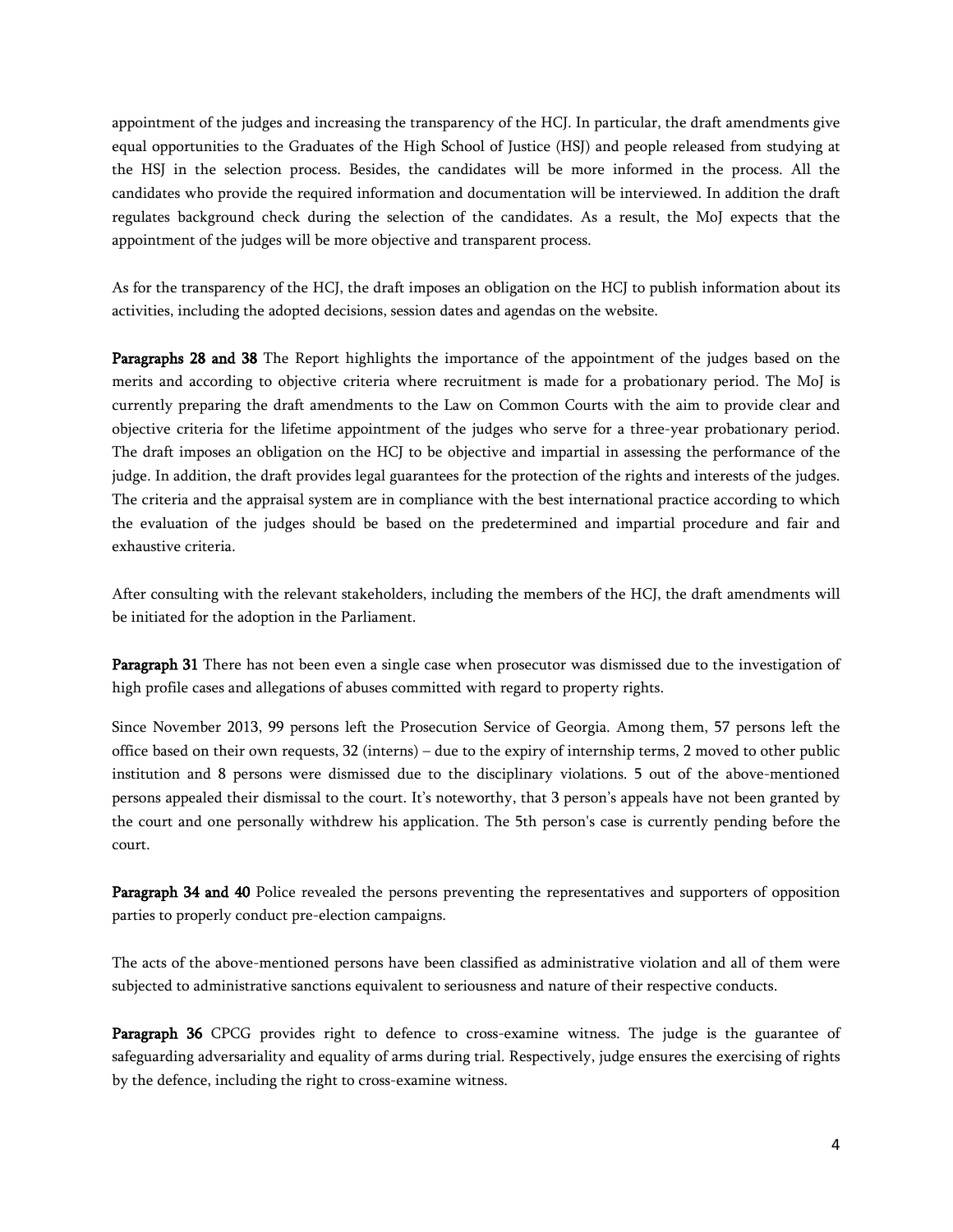appointment of the judges and increasing the transparency of the HCJ. In particular, the draft amendments give equal opportunities to the Graduates of the High School of Justice (HSJ) and people released from studying at the HSJ in the selection process. Besides, the candidates will be more informed in the process. All the candidates who provide the required information and documentation will be interviewed. In addition the draft regulates background check during the selection of the candidates. As a result, the MoJ expects that the appointment of the judges will be more objective and transparent process.

As for the transparency of the HCJ, the draft imposes an obligation on the HCJ to publish information about its activities, including the adopted decisions, session dates and agendas on the website.

**Paragraphs 28 and 38** The Report highlights the importance of the appointment of the judges based on the merits and according to objective criteria where recruitment is made for a probationary period. The MoJ is currently preparing the draft amendments to the Law on Common Courts with the aim to provide clear and objective criteria for the lifetime appointment of the judges who serve for a three-year probationary period. The draft imposes an obligation on the HCJ to be objective and impartial in assessing the performance of the judge. In addition, the draft provides legal guarantees for the protection of the rights and interests of the judges. The criteria and the appraisal system are in compliance with the best international practice according to which the evaluation of the judges should be based on the predetermined and impartial procedure and fair and exhaustive criteria.

After consulting with the relevant stakeholders, including the members of the HCJ, the draft amendments will be initiated for the adoption in the Parliament.

**Paragraph 31** There has not been even a single case when prosecutor was dismissed due to the investigation of high profile cases and allegations of abuses committed with regard to property rights.

Since November 2013, 99 persons left the Prosecution Service of Georgia. Among them, 57 persons left the office based on their own requests, 32 (interns) – due to the expiry of internship terms, 2 moved to other public institution and 8 persons were dismissed due to the disciplinary violations. 5 out of the above-mentioned persons appealed their dismissal to the court. It's noteworthy, that 3 person's appeals have not been granted by the court and one personally withdrew his application. The 5th person's case is currently pending before the court.

**Paragraph 34 and 40** Police revealed the persons preventing the representatives and supporters of opposition parties to properly conduct pre-election campaigns.

The acts of the above-mentioned persons have been classified as administrative violation and all of them were subjected to administrative sanctions equivalent to seriousness and nature of their respective conducts.

Paragraph 36 CPCG provides right to defence to cross-examine witness. The judge is the guarantee of safeguarding adversariality and equality of arms during trial. Respectively, judge ensures the exercising of rights by the defence, including the right to cross-examine witness.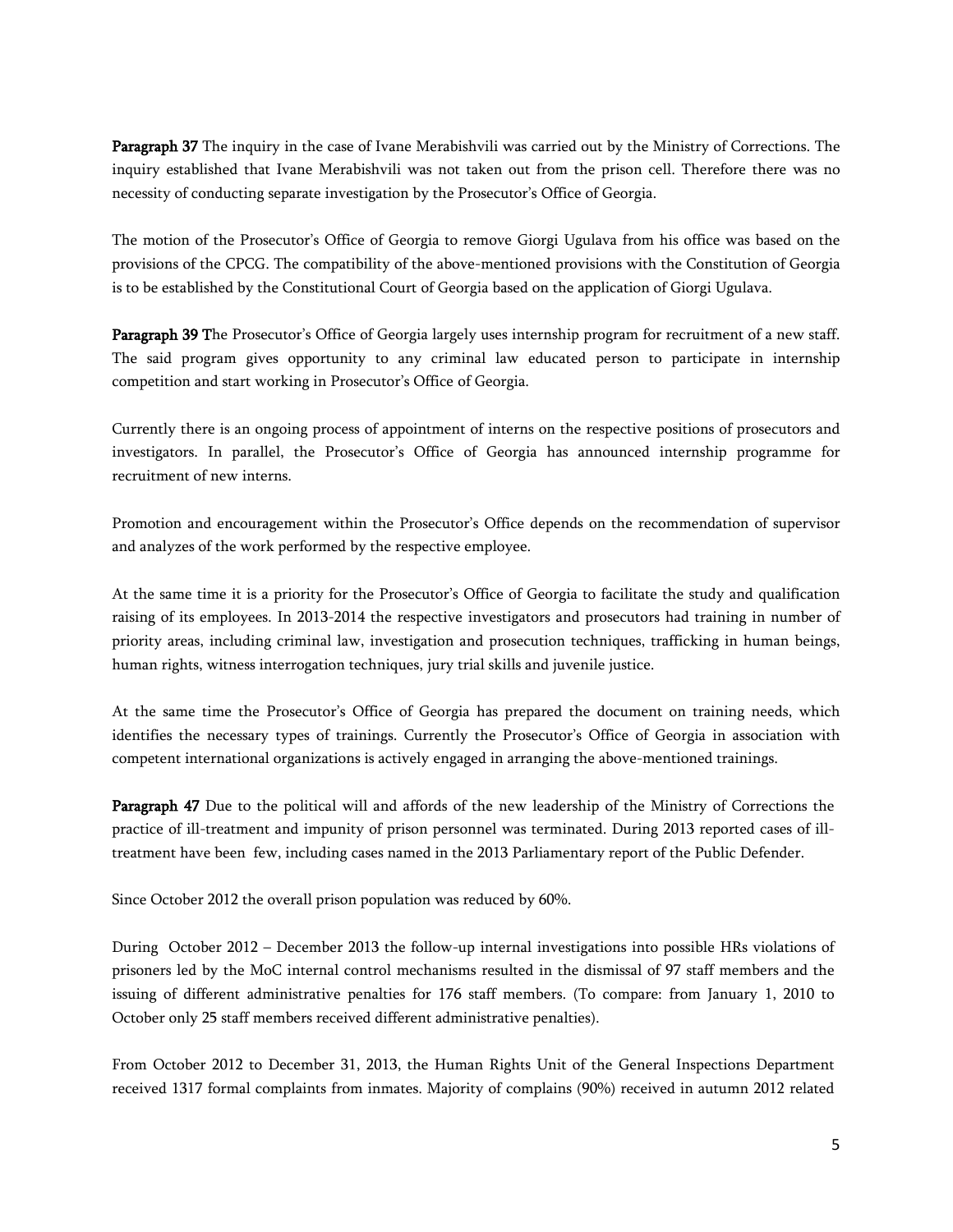**Paragraph 37** The inquiry in the case of Ivane Merabishvili was carried out by the Ministry of Corrections. The inquiry established that Ivane Merabishvili was not taken out from the prison cell. Therefore there was no necessity of conducting separate investigation by the Prosecutor's Office of Georgia.

The motion of the Prosecutor's Office of Georgia to remove Giorgi Ugulava from his office was based on the provisions of the CPCG. The compatibility of the above-mentioned provisions with the Constitution of Georgia is to be established by the Constitutional Court of Georgia based on the application of Giorgi Ugulava.

**Paragraph 39 T**he Prosecutor's Office of Georgia largely uses internship program for recruitment of a new staff. The said program gives opportunity to any criminal law educated person to participate in internship competition and start working in Prosecutor's Office of Georgia.

Currently there is an ongoing process of appointment of interns on the respective positions of prosecutors and investigators. In parallel, the Prosecutor's Office of Georgia has announced internship programme for recruitment of new interns.

Promotion and encouragement within the Prosecutor's Office depends on the recommendation of supervisor and analyzes of the work performed by the respective employee.

At the same time it is a priority for the Prosecutor's Office of Georgia to facilitate the study and qualification raising of its employees. In 2013-2014 the respective investigators and prosecutors had training in number of priority areas, including criminal law, investigation and prosecution techniques, trafficking in human beings, human rights, witness interrogation techniques, jury trial skills and juvenile justice.

At the same time the Prosecutor's Office of Georgia has prepared the document on training needs, which identifies the necessary types of trainings. Currently the Prosecutor's Office of Georgia in association with competent international organizations is actively engaged in arranging the above-mentioned trainings.

**Paragraph 47** Due to the political will and affords of the new leadership of the Ministry of Corrections the practice of ill-treatment and impunity of prison personnel was terminated. During 2013 reported cases of illtreatment have been few, including cases named in the 2013 Parliamentary report of the Public Defender.

Since October 2012 the overall prison population was reduced by 60%.

During October 2012 – December 2013 the follow-up internal investigations into possible HRs violations of prisoners led by the MoC internal control mechanisms resulted in the dismissal of 97 staff members and the issuing of different administrative penalties for 176 staff members. (To compare: from January 1, 2010 to October only 25 staff members received different administrative penalties).

From October 2012 to December 31, 2013, the Human Rights Unit of the General Inspections Department received 1317 formal complaints from inmates. Majority of complains (90%) received in autumn 2012 related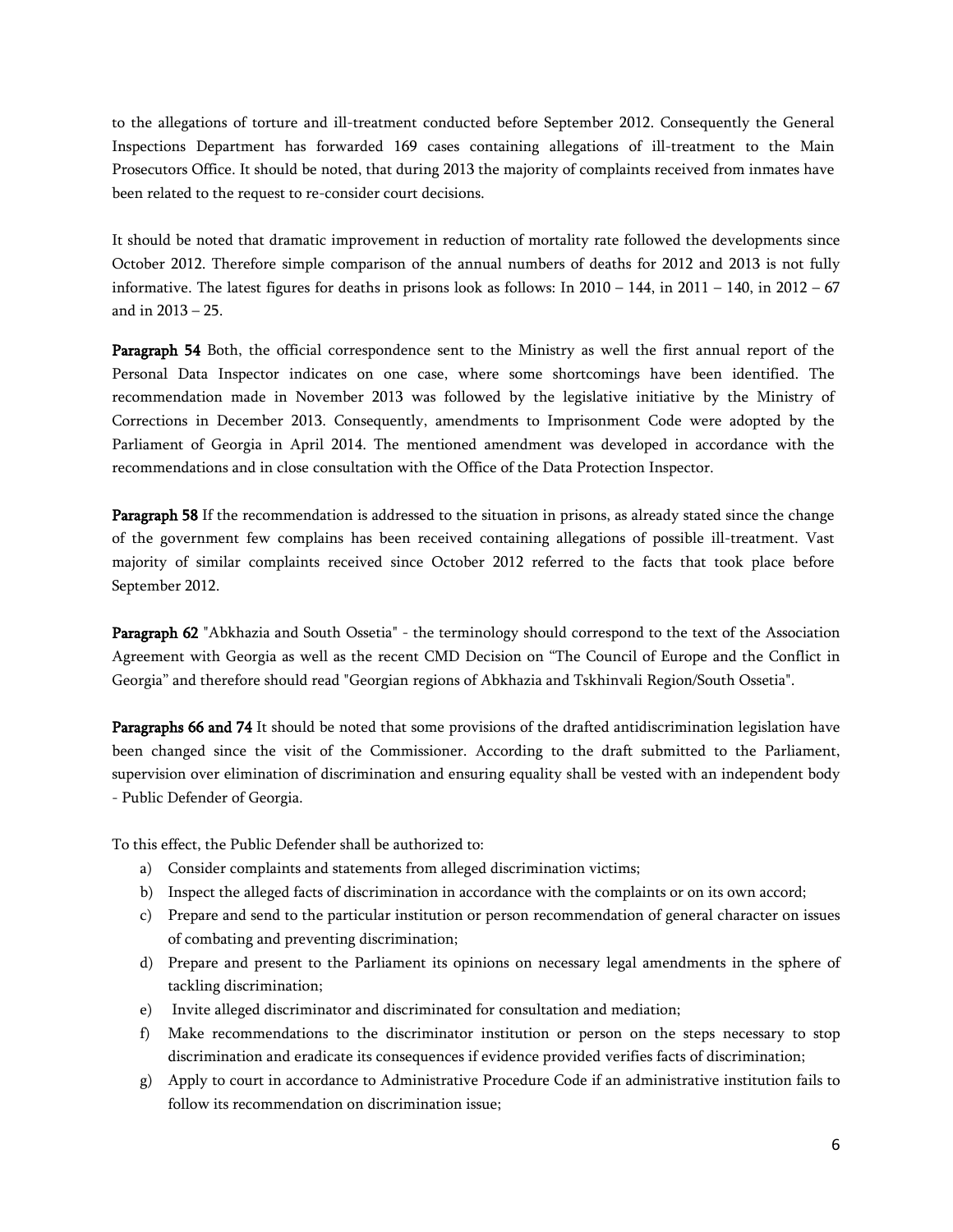to the allegations of torture and ill-treatment conducted before September 2012. Consequently the General Inspections Department has forwarded 169 cases containing allegations of ill-treatment to the Main Prosecutors Office. It should be noted, that during 2013 the majority of complaints received from inmates have been related to the request to re-consider court decisions.

It should be noted that dramatic improvement in reduction of mortality rate followed the developments since October 2012. Therefore simple comparison of the annual numbers of deaths for 2012 and 2013 is not fully informative. The latest figures for deaths in prisons look as follows: In  $2010 - 144$ , in  $2011 - 140$ , in  $2012 - 67$ and in 2013 – 25.

**Paragraph 54** Both, the official correspondence sent to the Ministry as well the first annual report of the Personal Data Inspector indicates on one case, where some shortcomings have been identified. The recommendation made in November 2013 was followed by the legislative initiative by the Ministry of Corrections in December 2013. Consequently, amendments to Imprisonment Code were adopted by the Parliament of Georgia in April 2014. The mentioned amendment was developed in accordance with the recommendations and in close consultation with the Office of the Data Protection Inspector.

**Paragraph 58** If the recommendation is addressed to the situation in prisons, as already stated since the change of the government few complains has been received containing allegations of possible ill-treatment. Vast majority of similar complaints received since October 2012 referred to the facts that took place before September 2012.

**Paragraph 62** "Abkhazia and South Ossetia" - the terminology should correspond to the text of the Association Agreement with Georgia as well as the recent CMD Decision on "The Council of Europe and the Conflict in Georgia" and therefore should read "Georgian regions of Abkhazia and Tskhinvali Region/South Ossetia".

**Paragraphs 66 and 74** It should be noted that some provisions of the drafted antidiscrimination legislation have been changed since the visit of the Commissioner. According to the draft submitted to the Parliament, supervision over elimination of discrimination and ensuring equality shall be vested with an independent body - Public Defender of Georgia.

To this effect, the Public Defender shall be authorized to:

- a) Consider complaints and statements from alleged discrimination victims;
- b) Inspect the alleged facts of discrimination in accordance with the complaints or on its own accord;
- c) Prepare and send to the particular institution or person recommendation of general character on issues of combating and preventing discrimination;
- d) Prepare and present to the Parliament its opinions on necessary legal amendments in the sphere of tackling discrimination;
- e) Invite alleged discriminator and discriminated for consultation and mediation;
- f) Make recommendations to the discriminator institution or person on the steps necessary to stop discrimination and eradicate its consequences if evidence provided verifies facts of discrimination;
- g) Apply to court in accordance to Administrative Procedure Code if an administrative institution fails to follow its recommendation on discrimination issue;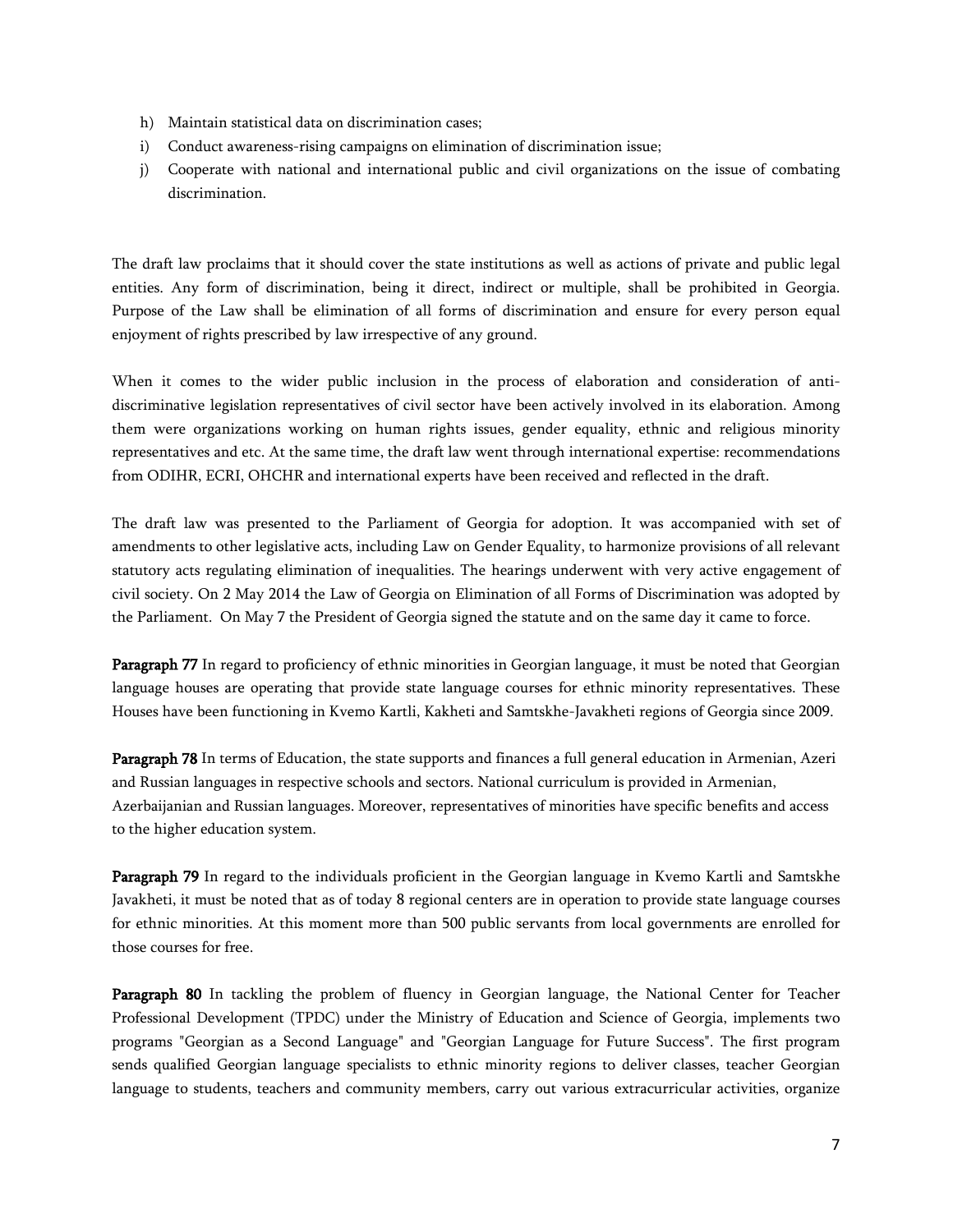- h) Maintain statistical data on discrimination cases;
- i) Conduct awareness-rising campaigns on elimination of discrimination issue;
- j) Cooperate with national and international public and civil organizations on the issue of combating discrimination.

The draft law proclaims that it should cover the state institutions as well as actions of private and public legal entities. Any form of discrimination, being it direct, indirect or multiple, shall be prohibited in Georgia. Purpose of the Law shall be elimination of all forms of discrimination and ensure for every person equal enjoyment of rights prescribed by law irrespective of any ground.

When it comes to the wider public inclusion in the process of elaboration and consideration of antidiscriminative legislation representatives of civil sector have been actively involved in its elaboration. Among them were organizations working on human rights issues, gender equality, ethnic and religious minority representatives and etc. At the same time, the draft law went through international expertise: recommendations from ODIHR, ECRI, OHCHR and international experts have been received and reflected in the draft.

The draft law was presented to the Parliament of Georgia for adoption. It was accompanied with set of amendments to other legislative acts, including Law on Gender Equality, to harmonize provisions of all relevant statutory acts regulating elimination of inequalities. The hearings underwent with very active engagement of civil society. On 2 May 2014 the Law of Georgia on Elimination of all Forms of Discrimination was adopted by the Parliament. On May 7 the President of Georgia signed the statute and on the same day it came to force.

**Paragraph 77** In regard to proficiency of ethnic minorities in Georgian language, it must be noted that Georgian language houses are operating that provide state language courses for ethnic minority representatives. These Houses have been functioning in Kvemo Kartli, Kakheti and Samtskhe-Javakheti regions of Georgia since 2009.

**Paragraph 78** In terms of Education, the state supports and finances a full general education in Armenian, Azeri and Russian languages in respective schools and sectors. National curriculum is provided in Armenian, Azerbaijanian and Russian languages. Moreover, representatives of minorities have specific benefits and access to the higher education system.

**Paragraph 79** In regard to the individuals proficient in the Georgian language in Kvemo Kartli and Samtskhe Javakheti, it must be noted that as of today 8 regional centers are in operation to provide state language courses for ethnic minorities. At this moment more than 500 public servants from local governments are enrolled for those courses for free.

**Paragraph 80** In tackling the problem of fluency in Georgian language, the National Center for Teacher Professional Development (TPDC) under the Ministry of Education and Science of Georgia, implements two programs "Georgian as a Second Language" and "Georgian Language for Future Success". The first program sends qualified Georgian language specialists to ethnic minority regions to deliver classes, teacher Georgian language to students, teachers and community members, carry out various extracurricular activities, organize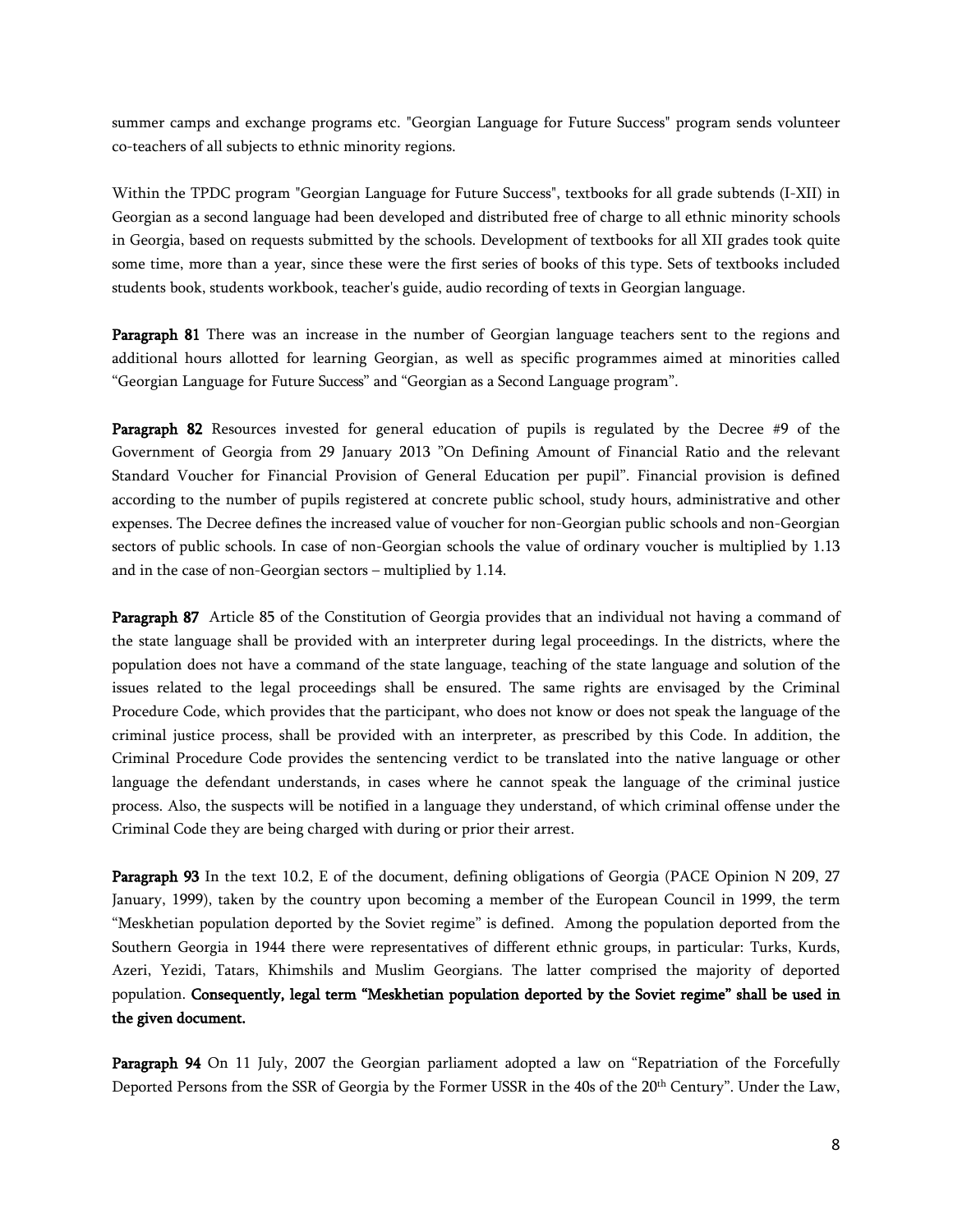summer camps and exchange programs etc. "Georgian Language for Future Success" program sends volunteer co-teachers of all subjects to ethnic minority regions.

Within the TPDC program "Georgian Language for Future Success", textbooks for all grade subtends (I-XII) in Georgian as a second language had been developed and distributed free of charge to all ethnic minority schools in Georgia, based on requests submitted by the schools. Development of textbooks for all XII grades took quite some time, more than a year, since these were the first series of books of this type. Sets of textbooks included students book, students workbook, teacher's guide, audio recording of texts in Georgian language.

**Paragraph 81** There was an increase in the number of Georgian language teachers sent to the regions and additional hours allotted for learning Georgian, as well as specific programmes aimed at minorities called "Georgian Language for Future Success" and "Georgian as a Second Language program".

**Paragraph 82** Resources invested for general education of pupils is regulated by the Decree #9 of the Government of Georgia from 29 January 2013 "On Defining Amount of Financial Ratio and the relevant Standard Voucher for Financial Provision of General Education per pupil". Financial provision is defined according to the number of pupils registered at concrete public school, study hours, administrative and other expenses. The Decree defines the increased value of voucher for non-Georgian public schools and non-Georgian sectors of public schools. In case of non-Georgian schools the value of ordinary voucher is multiplied by 1.13 and in the case of non-Georgian sectors – multiplied by 1.14.

**Paragraph 87** Article 85 of the Constitution of Georgia provides that an individual not having a command of the state language shall be provided with an interpreter during legal proceedings. In the districts, where the population does not have a command of the state language, teaching of the state language and solution of the issues related to the legal proceedings shall be ensured. The same rights are envisaged by the Criminal Procedure Code, which provides that the participant, who does not know or does not speak the language of the criminal justice process, shall be provided with an interpreter, as prescribed by this Code. In addition, the Criminal Procedure Code provides the sentencing verdict to be translated into the native language or other language the defendant understands, in cases where he cannot speak the language of the criminal justice process. Also, the suspects will be notified in a language they understand, of which criminal offense under the Criminal Code they are being charged with during or prior their arrest.

**Paragraph 93** In the text 10.2, E of the document, defining obligations of Georgia (PACE Opinion N 209, 27 January, 1999), taken by the country upon becoming a member of the European Council in 1999, the term "Meskhetian population deported by the Soviet regime" is defined. Among the population deported from the Southern Georgia in 1944 there were representatives of different ethnic groups, in particular: Turks, Kurds, Azeri, Yezidi, Tatars, Khimshils and Muslim Georgians. The latter comprised the majority of deported population. **Consequently, legal term "Meskhetian population deported by the Soviet regime" shall be used in the given document.**

**Paragraph 94** On 11 July, 2007 the Georgian parliament adopted a law on "Repatriation of the Forcefully Deported Persons from the SSR of Georgia by the Former USSR in the 40s of the 20th Century". Under the Law,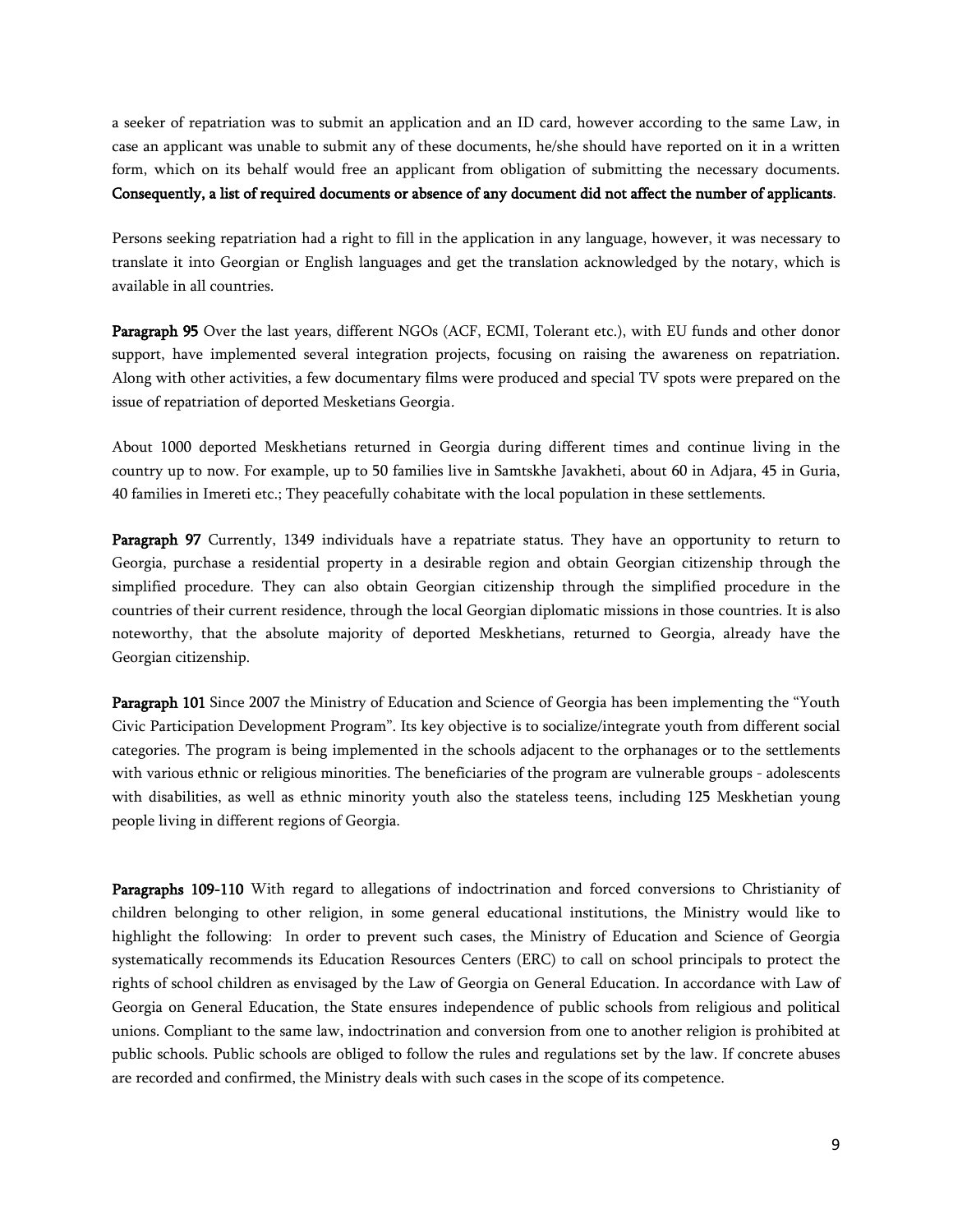a seeker of repatriation was to submit an application and an ID card, however according to the same Law, in case an applicant was unable to submit any of these documents, he/she should have reported on it in a written form, which on its behalf would free an applicant from obligation of submitting the necessary documents. **Consequently, a list of required documents or absence of any document did not affect the number of applicants**.

Persons seeking repatriation had a right to fill in the application in any language, however, it was necessary to translate it into Georgian or English languages and get the translation acknowledged by the notary, which is available in all countries.

**Paragraph 95** Over the last years,different NGOs (ACF, ECMI, Tolerant etc.), with EU funds and other donor support, have implemented several integration projects, focusing on raising the awareness on repatriation. Along with other activities, a few documentary films were produced and special TV spots were prepared on the issue of repatriation of deported Mesketians Georgia*.*

About 1000 deported Meskhetians returned in Georgia during different times and continue living in the country up to now. For example, up to 50 families live in Samtskhe Javakheti, about 60 in Adjara, 45 in Guria, 40 families in Imereti etc.; They peacefully cohabitate with the local population in these settlements.

**Paragraph 97** Currently, 1349 individuals have a repatriate status. They have an opportunity to return to Georgia, purchase a residential property in a desirable region and obtain Georgian citizenship through the simplified procedure. They can also obtain Georgian citizenship through the simplified procedure in the countries of their current residence, through the local Georgian diplomatic missions in those countries. It is also noteworthy, that the absolute majority of deported Meskhetians, returned to Georgia, already have the Georgian citizenship.

**Paragraph 101** Since 2007 the Ministry of Education and Science of Georgia has been implementing the "Youth Civic Participation Development Program". Its key objective is to socialize/integrate youth from different social categories. The program is being implemented in the schools adjacent to the orphanages or to the settlements with various ethnic or religious minorities. The beneficiaries of the program are vulnerable groups - adolescents with disabilities, as well as ethnic minority youth also the stateless teens, including 125 Meskhetian young people living in different regions of Georgia.

**Paragraphs 109-110** With regard toallegations of indoctrination and forced conversions to Christianity of children belonging to other religion, in some general educational institutions, the Ministry would like to highlight the following: In order to prevent such cases, the Ministry of Education and Science of Georgia systematically recommends its Education Resources Centers (ERC) to call on school principals to protect the rights of school children as envisaged by the Law of Georgia on General Education. In accordance with Law of Georgia on General Education, the State ensures independence of public schools from religious and political unions. Compliant to the same law, indoctrination and conversion from one to another religion is prohibited at public schools. Public schools are obliged to follow the rules and regulations set by the law. If concrete abuses are recorded and confirmed, the Ministry deals with such cases in the scope of its competence.